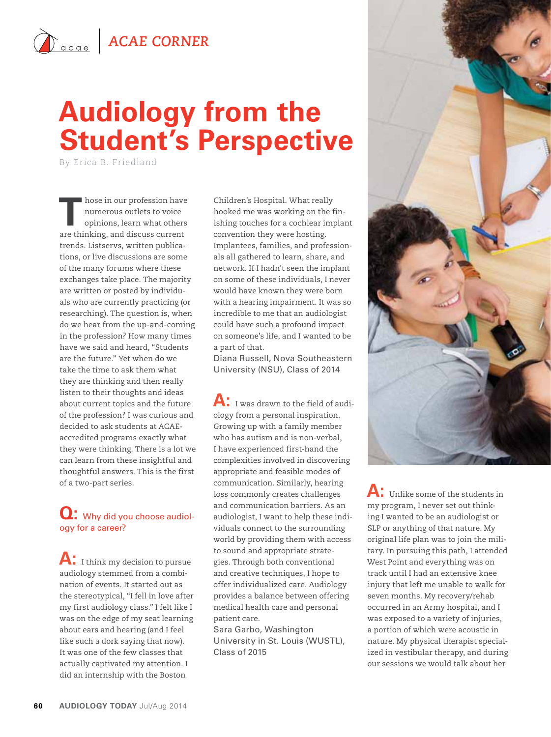## $\hat{A}_{\text{acge}}$  **ACAE CORNER**

# **Audiology from the Student's Perspective**

By Erica B. Friedland

**T** hose in our profession have numerous outlets to voice opinions, learn what others are thinking, and discuss current trends. Listservs, written publications, or live discussions are some of the many forums where these exchanges take place. The majority are written or posted by individuals who are currently practicing (or researching). The question is, when do we hear from the up-and-coming in the profession? How many times have we said and heard, "Students are the future." Yet when do we take the time to ask them what they are thinking and then really listen to their thoughts and ideas about current topics and the future of the profession? I was curious and decided to ask students at ACAEaccredited programs exactly what they were thinking. There is a lot we can learn from these insightful and thoughtful answers. This is the first of a two-part series.

### **Q:** Why did you choose audiology for a career?

**A:** I think my decision to pursue audiology stemmed from a combination of events. It started out as the stereotypical, "I fell in love after my first audiology class." I felt like I was on the edge of my seat learning about ears and hearing (and I feel like such a dork saying that now). It was one of the few classes that actually captivated my attention. I did an internship with the Boston

Children's Hospital. What really hooked me was working on the finishing touches for a cochlear implant convention they were hosting. Implantees, families, and professionals all gathered to learn, share, and network. If I hadn't seen the implant on some of these individuals, I never would have known they were born with a hearing impairment. It was so incredible to me that an audiologist could have such a profound impact on someone's life, and I wanted to be a part of that.

Diana Russell, Nova Southeastern University (NSU), Class of 2014

**A:** I was drawn to the field of audiology from a personal inspiration. Growing up with a family member who has autism and is non-verbal, I have experienced first-hand the complexities involved in discovering appropriate and feasible modes of communication. Similarly, hearing loss commonly creates challenges and communication barriers. As an audiologist, I want to help these individuals connect to the surrounding world by providing them with access to sound and appropriate strategies. Through both conventional and creative techniques, I hope to offer individualized care. Audiology provides a balance between offering medical health care and personal patient care.

Sara Garbo, Washington University in St. Louis (WUSTL), Class of 2015



**A:** Unlike some of the students in my program, I never set out thinking I wanted to be an audiologist or SLP or anything of that nature. My original life plan was to join the military. In pursuing this path, I attended West Point and everything was on track until I had an extensive knee injury that left me unable to walk for seven months. My recovery/rehab occurred in an Army hospital, and I was exposed to a variety of injuries, a portion of which were acoustic in nature. My physical therapist specialized in vestibular therapy, and during our sessions we would talk about her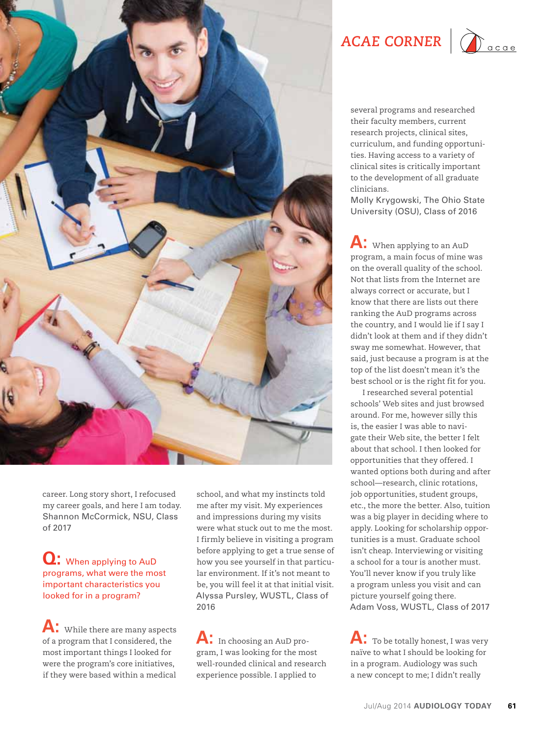

career. Long story short, I refocused my career goals, and here I am today. Shannon McCormick, NSU, Class of 2017

#### **Q:** When applying to AuD programs, what were the most important characteristics you looked for in a program?

**A:** While there are many aspects of a program that I considered, the most important things I looked for were the program's core initiatives, if they were based within a medical

school, and what my instincts told me after my visit. My experiences and impressions during my visits were what stuck out to me the most. I firmly believe in visiting a program before applying to get a true sense of how you see yourself in that particular environment. If it's not meant to be, you will feel it at that initial visit. Alyssa Pursley, WUSTL, Class of 2016

**A:** In choosing an AuD program, I was looking for the most well-rounded clinical and research experience possible. I applied to

ACAE CORNER | **Company** 



several programs and researched their faculty members, current research projects, clinical sites, curriculum, and funding opportunities. Having access to a variety of clinical sites is critically important to the development of all graduate clinicians.

Molly Krygowski, The Ohio State University (OSU), Class of 2016

**A:** When applying to an AuD program, a main focus of mine was on the overall quality of the school. Not that lists from the Internet are always correct or accurate, but I know that there are lists out there ranking the AuD programs across the country, and I would lie if I say I didn't look at them and if they didn't sway me somewhat. However, that said, just because a program is at the top of the list doesn't mean it's the best school or is the right fit for you.

I researched several potential schools' Web sites and just browsed around. For me, however silly this is, the easier I was able to navigate their Web site, the better I felt about that school. I then looked for opportunities that they offered. I wanted options both during and after school—research, clinic rotations, job opportunities, student groups, etc., the more the better. Also, tuition was a big player in deciding where to apply. Looking for scholarship opportunities is a must. Graduate school isn't cheap. Interviewing or visiting a school for a tour is another must. You'll never know if you truly like a program unless you visit and can picture yourself going there. Adam Voss, WUSTL, Class of 2017

**A:** To be totally honest, I was very naïve to what I should be looking for in a program. Audiology was such a new concept to me; I didn't really